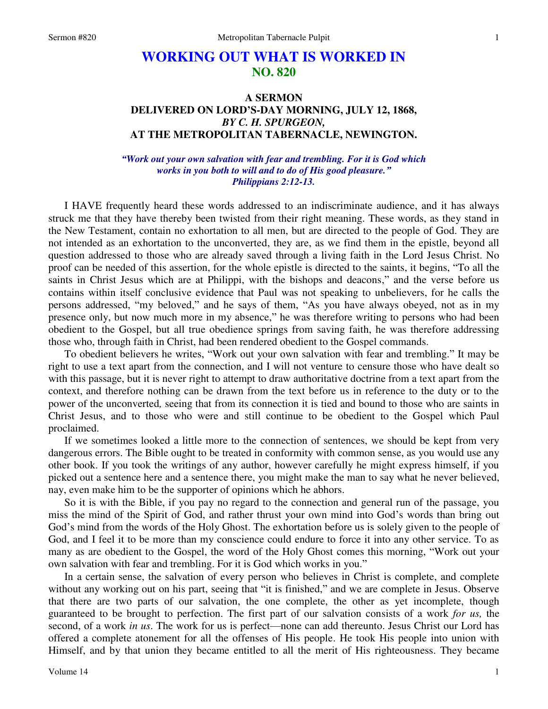# **WORKING OUT WHAT IS WORKED IN NO. 820**

## **A SERMON DELIVERED ON LORD'S-DAY MORNING, JULY 12, 1868,**  *BY C. H. SPURGEON,*  **AT THE METROPOLITAN TABERNACLE, NEWINGTON.**

### *"Work out your own salvation with fear and trembling. For it is God which works in you both to will and to do of His good pleasure." Philippians 2:12-13.*

I HAVE frequently heard these words addressed to an indiscriminate audience, and it has always struck me that they have thereby been twisted from their right meaning. These words, as they stand in the New Testament, contain no exhortation to all men, but are directed to the people of God. They are not intended as an exhortation to the unconverted, they are, as we find them in the epistle, beyond all question addressed to those who are already saved through a living faith in the Lord Jesus Christ. No proof can be needed of this assertion, for the whole epistle is directed to the saints, it begins, "To all the saints in Christ Jesus which are at Philippi, with the bishops and deacons," and the verse before us contains within itself conclusive evidence that Paul was not speaking to unbelievers, for he calls the persons addressed, "my beloved," and he says of them, "As you have always obeyed, not as in my presence only, but now much more in my absence," he was therefore writing to persons who had been obedient to the Gospel, but all true obedience springs from saving faith, he was therefore addressing those who, through faith in Christ, had been rendered obedient to the Gospel commands.

 To obedient believers he writes, "Work out your own salvation with fear and trembling." It may be right to use a text apart from the connection, and I will not venture to censure those who have dealt so with this passage, but it is never right to attempt to draw authoritative doctrine from a text apart from the context, and therefore nothing can be drawn from the text before us in reference to the duty or to the power of the unconverted*,* seeing that from its connection it is tied and bound to those who are saints in Christ Jesus, and to those who were and still continue to be obedient to the Gospel which Paul proclaimed.

 If we sometimes looked a little more to the connection of sentences, we should be kept from very dangerous errors. The Bible ought to be treated in conformity with common sense, as you would use any other book. If you took the writings of any author, however carefully he might express himself, if you picked out a sentence here and a sentence there, you might make the man to say what he never believed, nay, even make him to be the supporter of opinions which he abhors.

 So it is with the Bible, if you pay no regard to the connection and general run of the passage, you miss the mind of the Spirit of God, and rather thrust your own mind into God's words than bring out God's mind from the words of the Holy Ghost. The exhortation before us is solely given to the people of God, and I feel it to be more than my conscience could endure to force it into any other service. To as many as are obedient to the Gospel, the word of the Holy Ghost comes this morning, "Work out your own salvation with fear and trembling. For it is God which works in you."

 In a certain sense, the salvation of every person who believes in Christ is complete, and complete without any working out on his part, seeing that "it is finished," and we are complete in Jesus. Observe that there are two parts of our salvation, the one complete, the other as yet incomplete, though guaranteed to be brought to perfection. The first part of our salvation consists of a work *for us,* the second, of a work *in us*. The work for us is perfect—none can add thereunto. Jesus Christ our Lord has offered a complete atonement for all the offenses of His people. He took His people into union with Himself, and by that union they became entitled to all the merit of His righteousness. They became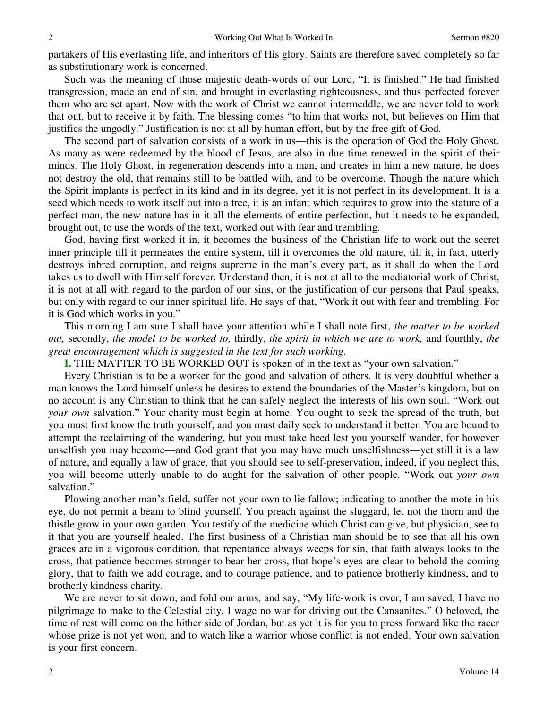partakers of His everlasting life, and inheritors of His glory. Saints are therefore saved completely so far as substitutionary work is concerned.

 Such was the meaning of those majestic death-words of our Lord, "It is finished." He had finished transgression, made an end of sin, and brought in everlasting righteousness, and thus perfected forever them who are set apart. Now with the work of Christ we cannot intermeddle, we are never told to work that out, but to receive it by faith. The blessing comes "to him that works not, but believes on Him that justifies the ungodly." Justification is not at all by human effort, but by the free gift of God.

 The second part of salvation consists of a work in us—this is the operation of God the Holy Ghost. As many as were redeemed by the blood of Jesus, are also in due time renewed in the spirit of their minds. The Holy Ghost, in regeneration descends into a man, and creates in him a new nature, he does not destroy the old, that remains still to be battled with, and to be overcome. Though the nature which the Spirit implants is perfect in its kind and in its degree, yet it is not perfect in its development. It is a seed which needs to work itself out into a tree, it is an infant which requires to grow into the stature of a perfect man, the new nature has in it all the elements of entire perfection, but it needs to be expanded, brought out, to use the words of the text, worked out with fear and trembling.

 God, having first worked it in, it becomes the business of the Christian life to work out the secret inner principle till it permeates the entire system, till it overcomes the old nature, till it, in fact, utterly destroys inbred corruption, and reigns supreme in the man's every part, as it shall do when the Lord takes us to dwell with Himself forever. Understand then, it is not at all to the mediatorial work of Christ, it is not at all with regard to the pardon of our sins, or the justification of our persons that Paul speaks, but only with regard to our inner spiritual life. He says of that, "Work it out with fear and trembling. For it is God which works in you."

 This morning I am sure I shall have your attention while I shall note first, *the matter to be worked out,* secondly, *the model to be worked to,* thirdly, *the spirit in which we are to work,* and fourthly, *the great encouragement which is suggested in the text for such working.* 

**I.** THE MATTER TO BE WORKED OUT is spoken of in the text as "your own salvation."

 Every Christian is to be a worker for the good and salvation of others. It is very doubtful whether a man knows the Lord himself unless he desires to extend the boundaries of the Master's kingdom, but on no account is any Christian to think that he can safely neglect the interests of his own soul. "Work out *your own* salvation." Your charity must begin at home. You ought to seek the spread of the truth, but you must first know the truth yourself, and you must daily seek to understand it better. You are bound to attempt the reclaiming of the wandering, but you must take heed lest you yourself wander, for however unselfish you may become—and God grant that you may have much unselfishness—yet still it is a law of nature, and equally a law of grace, that you should see to self-preservation, indeed, if you neglect this, you will become utterly unable to do aught for the salvation of other people. "Work out *your own* salvation."

 Plowing another man's field, suffer not your own to lie fallow; indicating to another the mote in his eye, do not permit a beam to blind yourself. You preach against the sluggard, let not the thorn and the thistle grow in your own garden. You testify of the medicine which Christ can give, but physician, see to it that you are yourself healed. The first business of a Christian man should be to see that all his own graces are in a vigorous condition, that repentance always weeps for sin, that faith always looks to the cross, that patience becomes stronger to bear her cross, that hope's eyes are clear to behold the coming glory, that to faith we add courage, and to courage patience, and to patience brotherly kindness, and to brotherly kindness charity.

 We are never to sit down, and fold our arms, and say, "My life-work is over, I am saved, I have no pilgrimage to make to the Celestial city, I wage no war for driving out the Canaanites." O beloved, the time of rest will come on the hither side of Jordan, but as yet it is for you to press forward like the racer whose prize is not yet won, and to watch like a warrior whose conflict is not ended. Your own salvation is your first concern.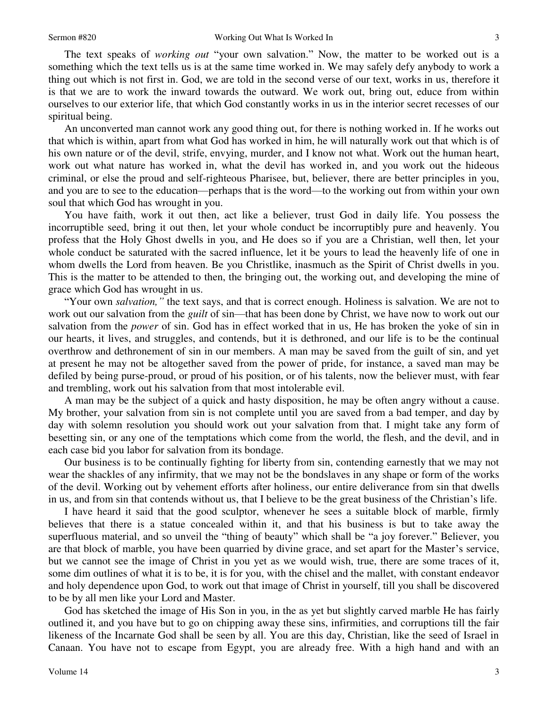3

 The text speaks of *working out* "your own salvation." Now, the matter to be worked out is a something which the text tells us is at the same time worked in. We may safely defy anybody to work a thing out which is not first in. God, we are told in the second verse of our text, works in us, therefore it is that we are to work the inward towards the outward. We work out, bring out, educe from within ourselves to our exterior life, that which God constantly works in us in the interior secret recesses of our spiritual being.

 An unconverted man cannot work any good thing out, for there is nothing worked in. If he works out that which is within, apart from what God has worked in him, he will naturally work out that which is of his own nature or of the devil, strife, envying, murder, and I know not what. Work out the human heart, work out what nature has worked in, what the devil has worked in, and you work out the hideous criminal, or else the proud and self-righteous Pharisee, but, believer, there are better principles in you, and you are to see to the education—perhaps that is the word—to the working out from within your own soul that which God has wrought in you.

 You have faith, work it out then, act like a believer, trust God in daily life. You possess the incorruptible seed, bring it out then, let your whole conduct be incorruptibly pure and heavenly. You profess that the Holy Ghost dwells in you, and He does so if you are a Christian, well then, let your whole conduct be saturated with the sacred influence, let it be yours to lead the heavenly life of one in whom dwells the Lord from heaven. Be you Christlike, inasmuch as the Spirit of Christ dwells in you. This is the matter to be attended to then, the bringing out, the working out, and developing the mine of grace which God has wrought in us.

"Your own *salvation,"* the text says, and that is correct enough. Holiness is salvation. We are not to work out our salvation from the *guilt* of sin—that has been done by Christ, we have now to work out our salvation from the *power* of sin. God has in effect worked that in us, He has broken the yoke of sin in our hearts, it lives, and struggles, and contends, but it is dethroned, and our life is to be the continual overthrow and dethronement of sin in our members. A man may be saved from the guilt of sin, and yet at present he may not be altogether saved from the power of pride, for instance, a saved man may be defiled by being purse-proud, or proud of his position, or of his talents, now the believer must, with fear and trembling, work out his salvation from that most intolerable evil.

 A man may be the subject of a quick and hasty disposition, he may be often angry without a cause. My brother, your salvation from sin is not complete until you are saved from a bad temper, and day by day with solemn resolution you should work out your salvation from that. I might take any form of besetting sin, or any one of the temptations which come from the world, the flesh, and the devil, and in each case bid you labor for salvation from its bondage.

 Our business is to be continually fighting for liberty from sin, contending earnestly that we may not wear the shackles of any infirmity, that we may not be the bondslaves in any shape or form of the works of the devil. Working out by vehement efforts after holiness, our entire deliverance from sin that dwells in us, and from sin that contends without us, that I believe to be the great business of the Christian's life.

 I have heard it said that the good sculptor, whenever he sees a suitable block of marble, firmly believes that there is a statue concealed within it, and that his business is but to take away the superfluous material, and so unveil the "thing of beauty" which shall be "a joy forever." Believer, you are that block of marble, you have been quarried by divine grace, and set apart for the Master's service, but we cannot see the image of Christ in you yet as we would wish, true, there are some traces of it, some dim outlines of what it is to be, it is for you, with the chisel and the mallet, with constant endeavor and holy dependence upon God, to work out that image of Christ in yourself, till you shall be discovered to be by all men like your Lord and Master.

 God has sketched the image of His Son in you, in the as yet but slightly carved marble He has fairly outlined it, and you have but to go on chipping away these sins, infirmities, and corruptions till the fair likeness of the Incarnate God shall be seen by all. You are this day, Christian, like the seed of Israel in Canaan. You have not to escape from Egypt, you are already free. With a high hand and with an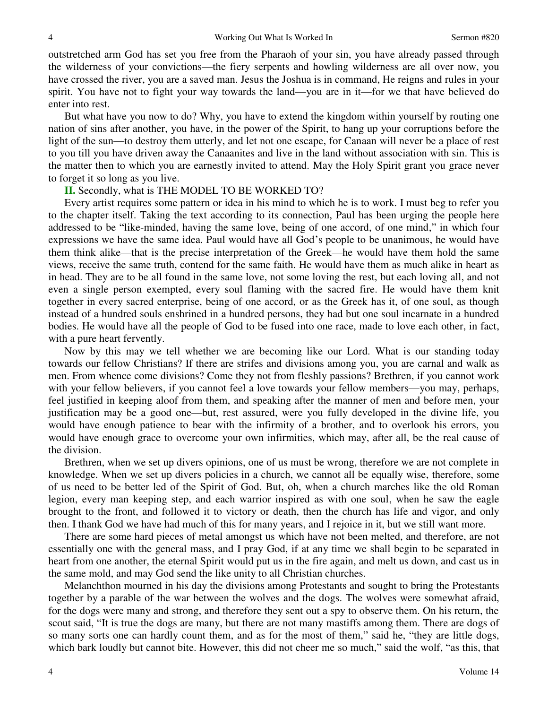outstretched arm God has set you free from the Pharaoh of your sin, you have already passed through the wilderness of your convictions—the fiery serpents and howling wilderness are all over now, you have crossed the river, you are a saved man. Jesus the Joshua is in command, He reigns and rules in your spirit. You have not to fight your way towards the land—you are in it—for we that have believed do enter into rest.

 But what have you now to do? Why, you have to extend the kingdom within yourself by routing one nation of sins after another, you have, in the power of the Spirit, to hang up your corruptions before the light of the sun—to destroy them utterly, and let not one escape, for Canaan will never be a place of rest to you till you have driven away the Canaanites and live in the land without association with sin. This is the matter then to which you are earnestly invited to attend. May the Holy Spirit grant you grace never to forget it so long as you live.

### **II.** Secondly, what is THE MODEL TO BE WORKED TO?

 Every artist requires some pattern or idea in his mind to which he is to work. I must beg to refer you to the chapter itself. Taking the text according to its connection, Paul has been urging the people here addressed to be "like-minded, having the same love, being of one accord, of one mind," in which four expressions we have the same idea. Paul would have all God's people to be unanimous, he would have them think alike—that is the precise interpretation of the Greek—he would have them hold the same views, receive the same truth, contend for the same faith. He would have them as much alike in heart as in head. They are to be all found in the same love, not some loving the rest, but each loving all, and not even a single person exempted, every soul flaming with the sacred fire. He would have them knit together in every sacred enterprise, being of one accord, or as the Greek has it, of one soul, as though instead of a hundred souls enshrined in a hundred persons, they had but one soul incarnate in a hundred bodies. He would have all the people of God to be fused into one race, made to love each other, in fact, with a pure heart fervently.

 Now by this may we tell whether we are becoming like our Lord. What is our standing today towards our fellow Christians? If there are strifes and divisions among you, you are carnal and walk as men. From whence come divisions? Come they not from fleshly passions? Brethren, if you cannot work with your fellow believers, if you cannot feel a love towards your fellow members—you may, perhaps, feel justified in keeping aloof from them, and speaking after the manner of men and before men, your justification may be a good one—but, rest assured, were you fully developed in the divine life, you would have enough patience to bear with the infirmity of a brother, and to overlook his errors, you would have enough grace to overcome your own infirmities, which may, after all, be the real cause of the division.

 Brethren, when we set up divers opinions, one of us must be wrong, therefore we are not complete in knowledge. When we set up divers policies in a church, we cannot all be equally wise, therefore, some of us need to be better led of the Spirit of God. But, oh, when a church marches like the old Roman legion, every man keeping step, and each warrior inspired as with one soul, when he saw the eagle brought to the front, and followed it to victory or death, then the church has life and vigor, and only then. I thank God we have had much of this for many years, and I rejoice in it, but we still want more.

 There are some hard pieces of metal amongst us which have not been melted, and therefore, are not essentially one with the general mass, and I pray God, if at any time we shall begin to be separated in heart from one another, the eternal Spirit would put us in the fire again, and melt us down, and cast us in the same mold, and may God send the like unity to all Christian churches.

 Melanchthon mourned in his day the divisions among Protestants and sought to bring the Protestants together by a parable of the war between the wolves and the dogs. The wolves were somewhat afraid, for the dogs were many and strong, and therefore they sent out a spy to observe them. On his return, the scout said, "It is true the dogs are many, but there are not many mastiffs among them. There are dogs of so many sorts one can hardly count them, and as for the most of them," said he, "they are little dogs, which bark loudly but cannot bite. However, this did not cheer me so much," said the wolf, "as this, that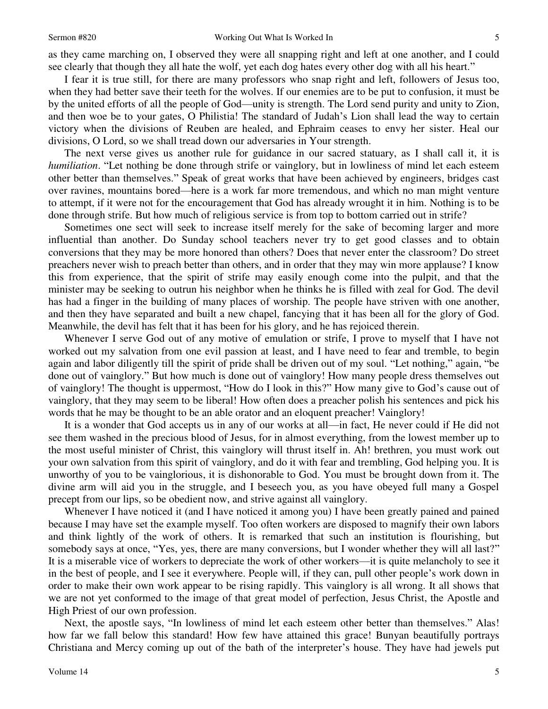as they came marching on, I observed they were all snapping right and left at one another, and I could see clearly that though they all hate the wolf, yet each dog hates every other dog with all his heart."

 I fear it is true still, for there are many professors who snap right and left, followers of Jesus too, when they had better save their teeth for the wolves. If our enemies are to be put to confusion, it must be by the united efforts of all the people of God—unity is strength. The Lord send purity and unity to Zion, and then woe be to your gates, O Philistia! The standard of Judah's Lion shall lead the way to certain victory when the divisions of Reuben are healed, and Ephraim ceases to envy her sister. Heal our divisions, O Lord, so we shall tread down our adversaries in Your strength.

 The next verse gives us another rule for guidance in our sacred statuary, as I shall call it, it is *humiliation*. "Let nothing be done through strife or vainglory, but in lowliness of mind let each esteem other better than themselves." Speak of great works that have been achieved by engineers, bridges cast over ravines, mountains bored—here is a work far more tremendous, and which no man might venture to attempt, if it were not for the encouragement that God has already wrought it in him. Nothing is to be done through strife. But how much of religious service is from top to bottom carried out in strife?

 Sometimes one sect will seek to increase itself merely for the sake of becoming larger and more influential than another. Do Sunday school teachers never try to get good classes and to obtain conversions that they may be more honored than others? Does that never enter the classroom? Do street preachers never wish to preach better than others, and in order that they may win more applause? I know this from experience, that the spirit of strife may easily enough come into the pulpit, and that the minister may be seeking to outrun his neighbor when he thinks he is filled with zeal for God. The devil has had a finger in the building of many places of worship. The people have striven with one another, and then they have separated and built a new chapel, fancying that it has been all for the glory of God. Meanwhile, the devil has felt that it has been for his glory, and he has rejoiced therein.

 Whenever I serve God out of any motive of emulation or strife, I prove to myself that I have not worked out my salvation from one evil passion at least, and I have need to fear and tremble, to begin again and labor diligently till the spirit of pride shall be driven out of my soul. "Let nothing," again, "be done out of vainglory." But how much is done out of vainglory! How many people dress themselves out of vainglory! The thought is uppermost, "How do I look in this?" How many give to God's cause out of vainglory, that they may seem to be liberal! How often does a preacher polish his sentences and pick his words that he may be thought to be an able orator and an eloquent preacher! Vainglory!

 It is a wonder that God accepts us in any of our works at all—in fact, He never could if He did not see them washed in the precious blood of Jesus, for in almost everything, from the lowest member up to the most useful minister of Christ, this vainglory will thrust itself in. Ah! brethren, you must work out your own salvation from this spirit of vainglory, and do it with fear and trembling, God helping you. It is unworthy of you to be vainglorious, it is dishonorable to God. You must be brought down from it. The divine arm will aid you in the struggle, and I beseech you, as you have obeyed full many a Gospel precept from our lips, so be obedient now, and strive against all vainglory.

 Whenever I have noticed it (and I have noticed it among you) I have been greatly pained and pained because I may have set the example myself. Too often workers are disposed to magnify their own labors and think lightly of the work of others. It is remarked that such an institution is flourishing, but somebody says at once, "Yes, yes, there are many conversions, but I wonder whether they will all last?" It is a miserable vice of workers to depreciate the work of other workers—it is quite melancholy to see it in the best of people, and I see it everywhere. People will, if they can, pull other people's work down in order to make their own work appear to be rising rapidly. This vainglory is all wrong. It all shows that we are not yet conformed to the image of that great model of perfection, Jesus Christ, the Apostle and High Priest of our own profession.

 Next, the apostle says, "In lowliness of mind let each esteem other better than themselves." Alas! how far we fall below this standard! How few have attained this grace! Bunyan beautifully portrays Christiana and Mercy coming up out of the bath of the interpreter's house. They have had jewels put

5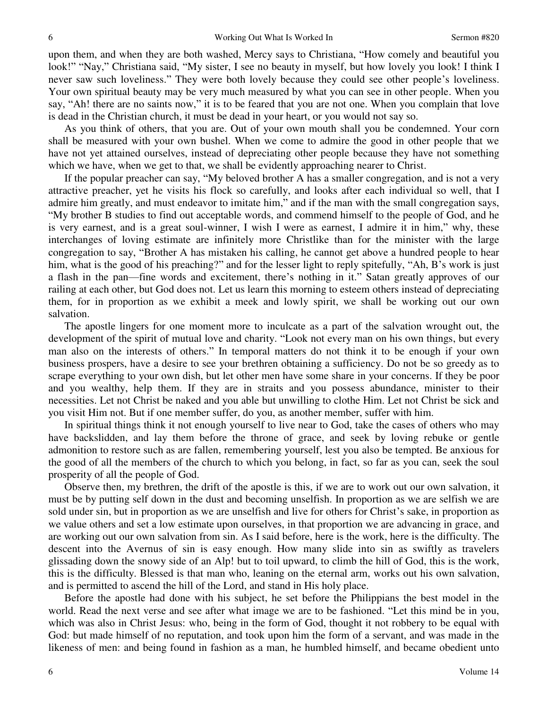upon them, and when they are both washed, Mercy says to Christiana, "How comely and beautiful you look!" "Nay," Christiana said, "My sister, I see no beauty in myself, but how lovely you look! I think I never saw such loveliness." They were both lovely because they could see other people's loveliness. Your own spiritual beauty may be very much measured by what you can see in other people. When you say, "Ah! there are no saints now," it is to be feared that you are not one. When you complain that love is dead in the Christian church, it must be dead in your heart, or you would not say so.

 As you think of others, that you are. Out of your own mouth shall you be condemned. Your corn shall be measured with your own bushel. When we come to admire the good in other people that we have not yet attained ourselves, instead of depreciating other people because they have not something which we have, when we get to that, we shall be evidently approaching nearer to Christ.

 If the popular preacher can say, "My beloved brother A has a smaller congregation, and is not a very attractive preacher, yet he visits his flock so carefully, and looks after each individual so well, that I admire him greatly, and must endeavor to imitate him," and if the man with the small congregation says, "My brother B studies to find out acceptable words, and commend himself to the people of God, and he is very earnest, and is a great soul-winner, I wish I were as earnest, I admire it in him," why, these interchanges of loving estimate are infinitely more Christlike than for the minister with the large congregation to say, "Brother A has mistaken his calling, he cannot get above a hundred people to hear him, what is the good of his preaching?" and for the lesser light to reply spitefully, "Ah, B's work is just a flash in the pan—fine words and excitement, there's nothing in it." Satan greatly approves of our railing at each other, but God does not. Let us learn this morning to esteem others instead of depreciating them, for in proportion as we exhibit a meek and lowly spirit, we shall be working out our own salvation.

 The apostle lingers for one moment more to inculcate as a part of the salvation wrought out, the development of the spirit of mutual love and charity. "Look not every man on his own things, but every man also on the interests of others." In temporal matters do not think it to be enough if your own business prospers, have a desire to see your brethren obtaining a sufficiency. Do not be so greedy as to scrape everything to your own dish, but let other men have some share in your concerns. If they be poor and you wealthy, help them. If they are in straits and you possess abundance, minister to their necessities. Let not Christ be naked and you able but unwilling to clothe Him. Let not Christ be sick and you visit Him not. But if one member suffer, do you, as another member, suffer with him.

 In spiritual things think it not enough yourself to live near to God, take the cases of others who may have backslidden, and lay them before the throne of grace, and seek by loving rebuke or gentle admonition to restore such as are fallen, remembering yourself, lest you also be tempted. Be anxious for the good of all the members of the church to which you belong, in fact, so far as you can, seek the soul prosperity of all the people of God.

 Observe then, my brethren, the drift of the apostle is this, if we are to work out our own salvation, it must be by putting self down in the dust and becoming unselfish. In proportion as we are selfish we are sold under sin, but in proportion as we are unselfish and live for others for Christ's sake, in proportion as we value others and set a low estimate upon ourselves, in that proportion we are advancing in grace, and are working out our own salvation from sin. As I said before, here is the work, here is the difficulty. The descent into the Avernus of sin is easy enough. How many slide into sin as swiftly as travelers glissading down the snowy side of an Alp! but to toil upward, to climb the hill of God, this is the work, this is the difficulty. Blessed is that man who, leaning on the eternal arm, works out his own salvation, and is permitted to ascend the hill of the Lord, and stand in His holy place.

 Before the apostle had done with his subject, he set before the Philippians the best model in the world. Read the next verse and see after what image we are to be fashioned. "Let this mind be in you, which was also in Christ Jesus: who, being in the form of God, thought it not robbery to be equal with God: but made himself of no reputation, and took upon him the form of a servant, and was made in the likeness of men: and being found in fashion as a man, he humbled himself, and became obedient unto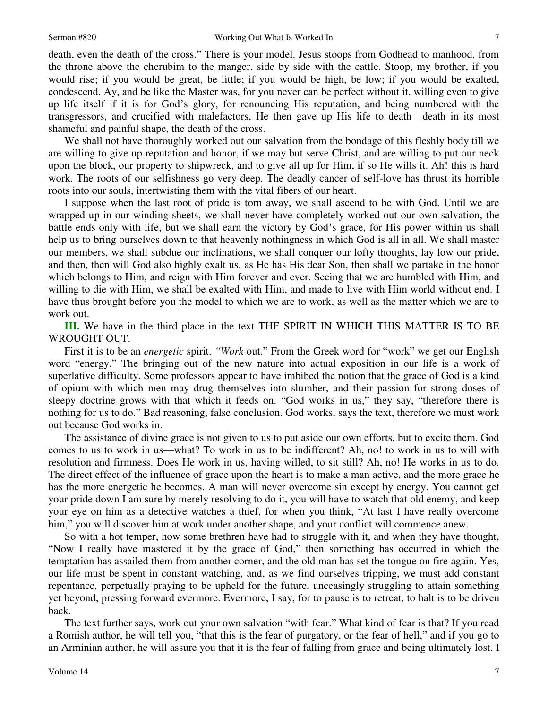death, even the death of the cross." There is your model. Jesus stoops from Godhead to manhood, from the throne above the cherubim to the manger, side by side with the cattle. Stoop, my brother, if you would rise; if you would be great, be little; if you would be high, be low; if you would be exalted, condescend. Ay, and be like the Master was, for you never can be perfect without it, willing even to give up life itself if it is for God's glory, for renouncing His reputation, and being numbered with the transgressors, and crucified with malefactors, He then gave up His life to death—death in its most shameful and painful shape, the death of the cross.

 We shall not have thoroughly worked out our salvation from the bondage of this fleshly body till we are willing to give up reputation and honor, if we may but serve Christ, and are willing to put our neck upon the block, our property to shipwreck, and to give all up for Him, if so He wills it. Ah! this is hard work. The roots of our selfishness go very deep. The deadly cancer of self-love has thrust its horrible roots into our souls, intertwisting them with the vital fibers of our heart.

 I suppose when the last root of pride is torn away, we shall ascend to be with God. Until we are wrapped up in our winding-sheets, we shall never have completely worked out our own salvation, the battle ends only with life, but we shall earn the victory by God's grace, for His power within us shall help us to bring ourselves down to that heavenly nothingness in which God is all in all. We shall master our members, we shall subdue our inclinations, we shall conquer our lofty thoughts, lay low our pride, and then, then will God also highly exalt us, as He has His dear Son, then shall we partake in the honor which belongs to Him, and reign with Him forever and ever. Seeing that we are humbled with Him, and willing to die with Him, we shall be exalted with Him, and made to live with Him world without end. I have thus brought before you the model to which we are to work, as well as the matter which we are to work out.

**III.** We have in the third place in the text THE SPIRIT IN WHICH THIS MATTER IS TO BE WROUGHT OUT.

 First it is to be an *energetic* spirit. *"Work* out." From the Greek word for "work" we get our English word "energy." The bringing out of the new nature into actual exposition in our life is a work of superlative difficulty. Some professors appear to have imbibed the notion that the grace of God is a kind of opium with which men may drug themselves into slumber, and their passion for strong doses of sleepy doctrine grows with that which it feeds on. "God works in us," they say, "therefore there is nothing for us to do." Bad reasoning, false conclusion. God works, says the text, therefore we must work out because God works in.

 The assistance of divine grace is not given to us to put aside our own efforts, but to excite them. God comes to us to work in us—what? To work in us to be indifferent? Ah, no! to work in us to will with resolution and firmness. Does He work in us, having willed, to sit still? Ah, no! He works in us to do. The direct effect of the influence of grace upon the heart is to make a man active, and the more grace he has the more energetic he becomes. A man will never overcome sin except by energy. You cannot get your pride down I am sure by merely resolving to do it, you will have to watch that old enemy, and keep your eye on him as a detective watches a thief, for when you think, "At last I have really overcome him," you will discover him at work under another shape, and your conflict will commence anew.

 So with a hot temper, how some brethren have had to struggle with it, and when they have thought, "Now I really have mastered it by the grace of God," then something has occurred in which the temptation has assailed them from another corner, and the old man has set the tongue on fire again. Yes, our life must be spent in constant watching, and, as we find ourselves tripping, we must add constant repentance*,* perpetually praying to be upheld for the future, unceasingly struggling to attain something yet beyond, pressing forward evermore. Evermore, I say, for to pause is to retreat, to halt is to be driven back.

 The text further says, work out your own salvation "with fear." What kind of fear is that? If you read a Romish author, he will tell you, "that this is the fear of purgatory, or the fear of hell," and if you go to an Arminian author, he will assure you that it is the fear of falling from grace and being ultimately lost. I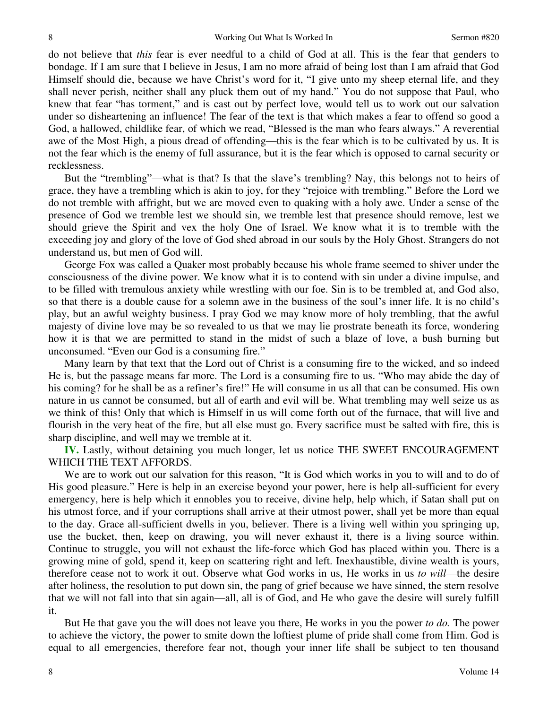do not believe that *this* fear is ever needful to a child of God at all. This is the fear that genders to bondage. If I am sure that I believe in Jesus, I am no more afraid of being lost than I am afraid that God Himself should die, because we have Christ's word for it, "I give unto my sheep eternal life, and they shall never perish, neither shall any pluck them out of my hand." You do not suppose that Paul, who knew that fear "has torment," and is cast out by perfect love, would tell us to work out our salvation under so disheartening an influence! The fear of the text is that which makes a fear to offend so good a God, a hallowed, childlike fear, of which we read, "Blessed is the man who fears always." A reverential awe of the Most High, a pious dread of offending—this is the fear which is to be cultivated by us. It is not the fear which is the enemy of full assurance, but it is the fear which is opposed to carnal security or recklessness.

 But the "trembling"—what is that? Is that the slave's trembling? Nay, this belongs not to heirs of grace, they have a trembling which is akin to joy, for they "rejoice with trembling." Before the Lord we do not tremble with affright, but we are moved even to quaking with a holy awe. Under a sense of the presence of God we tremble lest we should sin, we tremble lest that presence should remove, lest we should grieve the Spirit and vex the holy One of Israel. We know what it is to tremble with the exceeding joy and glory of the love of God shed abroad in our souls by the Holy Ghost. Strangers do not understand us, but men of God will.

 George Fox was called a Quaker most probably because his whole frame seemed to shiver under the consciousness of the divine power. We know what it is to contend with sin under a divine impulse, and to be filled with tremulous anxiety while wrestling with our foe. Sin is to be trembled at, and God also, so that there is a double cause for a solemn awe in the business of the soul's inner life. It is no child's play, but an awful weighty business. I pray God we may know more of holy trembling, that the awful majesty of divine love may be so revealed to us that we may lie prostrate beneath its force, wondering how it is that we are permitted to stand in the midst of such a blaze of love, a bush burning but unconsumed. "Even our God is a consuming fire."

 Many learn by that text that the Lord out of Christ is a consuming fire to the wicked, and so indeed He is, but the passage means far more. The Lord is a consuming fire to us. "Who may abide the day of his coming? for he shall be as a refiner's fire!" He will consume in us all that can be consumed. His own nature in us cannot be consumed, but all of earth and evil will be. What trembling may well seize us as we think of this! Only that which is Himself in us will come forth out of the furnace, that will live and flourish in the very heat of the fire, but all else must go. Every sacrifice must be salted with fire, this is sharp discipline, and well may we tremble at it.

**IV.** Lastly, without detaining you much longer, let us notice THE SWEET ENCOURAGEMENT WHICH THE TEXT AFFORDS.

 We are to work out our salvation for this reason, "It is God which works in you to will and to do of His good pleasure." Here is help in an exercise beyond your power, here is help all-sufficient for every emergency, here is help which it ennobles you to receive, divine help, help which, if Satan shall put on his utmost force, and if your corruptions shall arrive at their utmost power, shall yet be more than equal to the day. Grace all-sufficient dwells in you, believer. There is a living well within you springing up, use the bucket, then, keep on drawing, you will never exhaust it, there is a living source within. Continue to struggle, you will not exhaust the life-force which God has placed within you. There is a growing mine of gold, spend it, keep on scattering right and left. Inexhaustible, divine wealth is yours, therefore cease not to work it out. Observe what God works in us, He works in us *to will*—the desire after holiness, the resolution to put down sin, the pang of grief because we have sinned, the stern resolve that we will not fall into that sin again—all, all is of God, and He who gave the desire will surely fulfill it.

 But He that gave you the will does not leave you there, He works in you the power *to do.* The power to achieve the victory, the power to smite down the loftiest plume of pride shall come from Him. God is equal to all emergencies, therefore fear not, though your inner life shall be subject to ten thousand